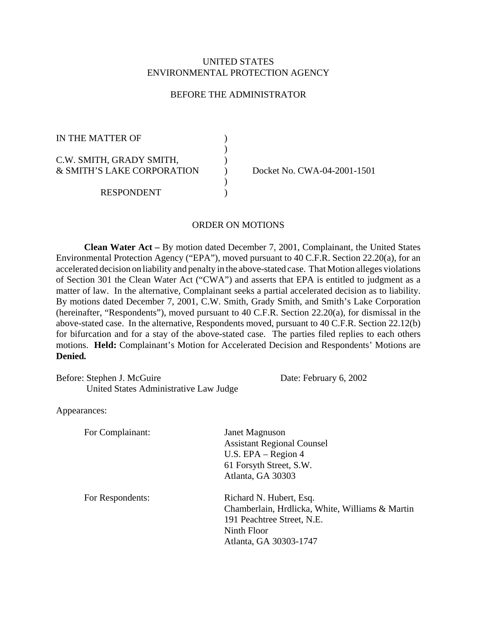## UNITED STATES ENVIRONMENTAL PROTECTION AGENCY

### BEFORE THE ADMINISTRATOR

| IN THE MATTER OF                      |  |
|---------------------------------------|--|
|                                       |  |
| C.W. SMITH, GRADY SMITH,              |  |
| <b>&amp; SMITH'S LAKE CORPORATION</b> |  |
|                                       |  |
| <b>RESPONDENT</b>                     |  |

) Docket No. CWA-04-2001-1501

### ORDER ON MOTIONS

**Clean Water Act –** By motion dated December 7, 2001, Complainant, the United States Environmental Protection Agency ("EPA"), moved pursuant to 40 C.F.R. Section 22.20(a), for an accelerated decision on liability and penalty in the above-stated case. That Motion alleges violations of Section 301 the Clean Water Act ("CWA") and asserts that EPA is entitled to judgment as a matter of law. In the alternative, Complainant seeks a partial accelerated decision as to liability. By motions dated December 7, 2001, C.W. Smith, Grady Smith, and Smith's Lake Corporation (hereinafter, "Respondents"), moved pursuant to 40 C.F.R. Section 22.20(a), for dismissal in the above-stated case. In the alternative, Respondents moved, pursuant to 40 C.F.R. Section 22.12(b) for bifurcation and for a stay of the above-stated case. The parties filed replies to each others motions. **Held:** Complainant's Motion for Accelerated Decision and Respondents' Motions are **Denied***.* 

| Before: Stephen J. McGuire<br>United States Administrative Law Judge | Date: February 6, 2002                                                                                                                            |
|----------------------------------------------------------------------|---------------------------------------------------------------------------------------------------------------------------------------------------|
| Appearances:                                                         |                                                                                                                                                   |
| For Complainant:                                                     | <b>Janet Magnuson</b><br><b>Assistant Regional Counsel</b><br>U.S. $EPA - Region 4$<br>61 Forsyth Street, S.W.<br>Atlanta, GA 30303               |
| For Respondents:                                                     | Richard N. Hubert, Esq.<br>Chamberlain, Hrdlicka, White, Williams & Martin<br>191 Peachtree Street, N.E.<br>Ninth Floor<br>Atlanta, GA 30303-1747 |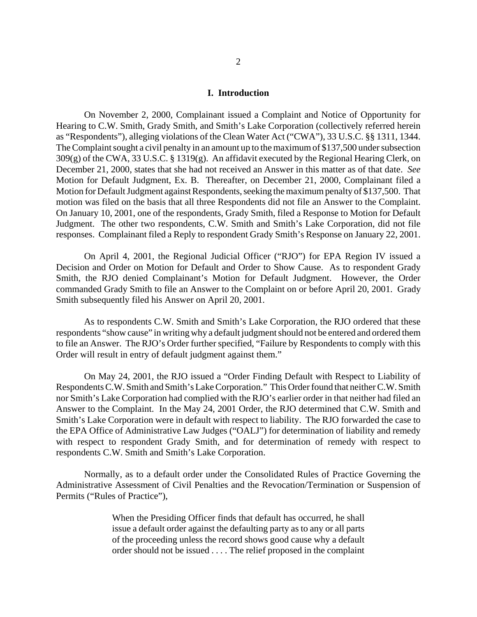#### **I. Introduction**

On November 2, 2000, Complainant issued a Complaint and Notice of Opportunity for Hearing to C.W. Smith, Grady Smith, and Smith's Lake Corporation (collectively referred herein as "Respondents"), alleging violations of the Clean Water Act ("CWA"), 33 U.S.C. §§ 1311, 1344. The Complaint sought a civil penalty in an amount up to the maximum of \$137,500 under subsection 309(g) of the CWA, 33 U.S.C. § 1319(g). An affidavit executed by the Regional Hearing Clerk, on December 21, 2000, states that she had not received an Answer in this matter as of that date. *See*  Motion for Default Judgment, Ex. B. Thereafter, on December 21, 2000, Complainant filed a Motion for Default Judgment against Respondents, seeking the maximum penalty of \$137,500. That motion was filed on the basis that all three Respondents did not file an Answer to the Complaint. On January 10, 2001, one of the respondents, Grady Smith, filed a Response to Motion for Default Judgment. The other two respondents, C.W. Smith and Smith's Lake Corporation, did not file responses. Complainant filed a Reply to respondent Grady Smith's Response on January 22, 2001.

On April 4, 2001, the Regional Judicial Officer ("RJO") for EPA Region IV issued a Decision and Order on Motion for Default and Order to Show Cause. As to respondent Grady Smith, the RJO denied Complainant's Motion for Default Judgment. However, the Order commanded Grady Smith to file an Answer to the Complaint on or before April 20, 2001. Grady Smith subsequently filed his Answer on April 20, 2001.

As to respondents C.W. Smith and Smith's Lake Corporation, the RJO ordered that these respondents "show cause" in writing why a default judgment should not be entered and ordered them to file an Answer. The RJO's Order further specified, "Failure by Respondents to comply with this Order will result in entry of default judgment against them."

On May 24, 2001, the RJO issued a "Order Finding Default with Respect to Liability of Respondents C.W. Smith and Smith's Lake Corporation." This Order found that neither C.W. Smith nor Smith's Lake Corporation had complied with the RJO's earlier order in that neither had filed an Answer to the Complaint. In the May 24, 2001 Order, the RJO determined that C.W. Smith and Smith's Lake Corporation were in default with respect to liability. The RJO forwarded the case to the EPA Office of Administrative Law Judges ("OALJ") for determination of liability and remedy with respect to respondent Grady Smith, and for determination of remedy with respect to respondents C.W. Smith and Smith's Lake Corporation.

Normally, as to a default order under the Consolidated Rules of Practice Governing the Administrative Assessment of Civil Penalties and the Revocation/Termination or Suspension of Permits ("Rules of Practice"),

> When the Presiding Officer finds that default has occurred, he shall issue a default order against the defaulting party as to any or all parts of the proceeding unless the record shows good cause why a default order should not be issued . . . . The relief proposed in the complaint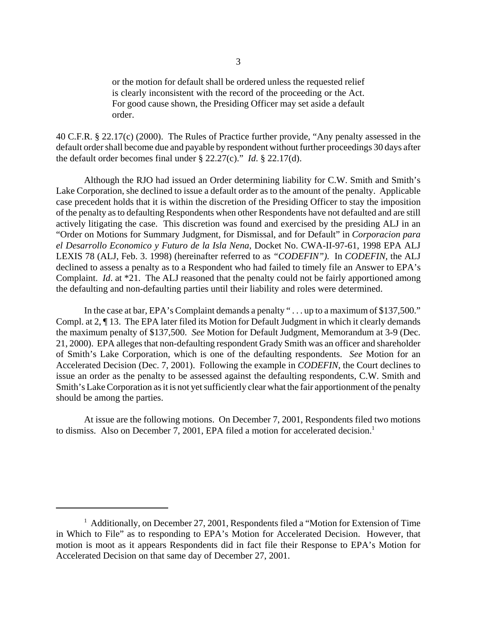or the motion for default shall be ordered unless the requested relief is clearly inconsistent with the record of the proceeding or the Act. For good cause shown, the Presiding Officer may set aside a default order.

40 C.F.R. § 22.17(c) (2000). The Rules of Practice further provide, "Any penalty assessed in the default order shall become due and payable by respondent without further proceedings 30 days after the default order becomes final under § 22.27(c)." *Id*. § 22.17(d).

Although the RJO had issued an Order determining liability for C.W. Smith and Smith's Lake Corporation, she declined to issue a default order as to the amount of the penalty. Applicable case precedent holds that it is within the discretion of the Presiding Officer to stay the imposition of the penalty as to defaulting Respondents when other Respondents have not defaulted and are still actively litigating the case. This discretion was found and exercised by the presiding ALJ in an "Order on Motions for Summary Judgment, for Dismissal, and for Default" in *Corporacion para el Desarrollo Economico y Futuro de la Isla Nena*, Docket No. CWA-II-97-61, 1998 EPA ALJ LEXIS 78 (ALJ, Feb. 3. 1998) (hereinafter referred to as *"CODEFIN")*. In *CODEFIN*, the ALJ declined to assess a penalty as to a Respondent who had failed to timely file an Answer to EPA's Complaint. *Id*. at \*21. The ALJ reasoned that the penalty could not be fairly apportioned among the defaulting and non-defaulting parties until their liability and roles were determined.

In the case at bar, EPA's Complaint demands a penalty "... up to a maximum of \$137,500." Compl. at 2, ¶ 13. The EPA later filed its Motion for Default Judgment in which it clearly demands the maximum penalty of \$137,500. *See* Motion for Default Judgment, Memorandum at 3-9 (Dec. 21, 2000). EPA alleges that non-defaulting respondent Grady Smith was an officer and shareholder of Smith's Lake Corporation, which is one of the defaulting respondents. *See* Motion for an Accelerated Decision (Dec. 7, 2001). Following the example in *CODEFIN*, the Court declines to issue an order as the penalty to be assessed against the defaulting respondents, C.W. Smith and Smith's Lake Corporation as it is not yet sufficiently clear what the fair apportionment of the penalty should be among the parties.

At issue are the following motions. On December 7, 2001, Respondents filed two motions to dismiss. Also on December 7, 2001, EPA filed a motion for accelerated decision.<sup>1</sup>

<sup>&</sup>lt;sup>1</sup> Additionally, on December 27, 2001, Respondents filed a "Motion for Extension of Time in Which to File" as to responding to EPA's Motion for Accelerated Decision. However, that motion is moot as it appears Respondents did in fact file their Response to EPA's Motion for Accelerated Decision on that same day of December 27, 2001.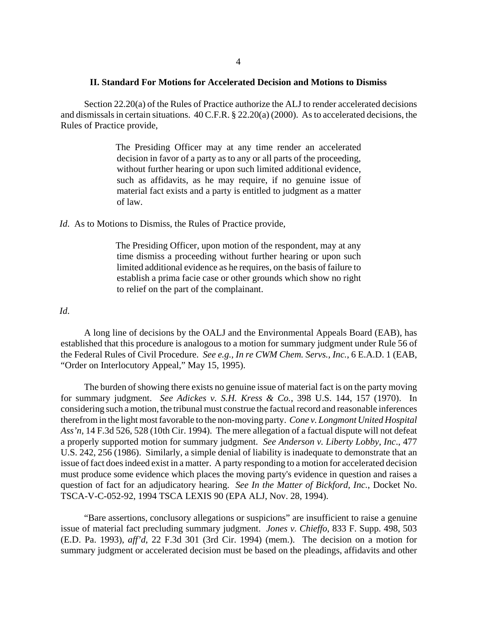#### **II. Standard For Motions for Accelerated Decision and Motions to Dismiss**

Section 22.20(a) of the Rules of Practice authorize the ALJ to render accelerated decisions and dismissals in certain situations. 40 C.F.R. § 22.20(a) (2000). As to accelerated decisions, the Rules of Practice provide,

> The Presiding Officer may at any time render an accelerated decision in favor of a party as to any or all parts of the proceeding, without further hearing or upon such limited additional evidence, such as affidavits, as he may require, if no genuine issue of material fact exists and a party is entitled to judgment as a matter of law.

*Id.* As to Motions to Dismiss, the Rules of Practice provide,

The Presiding Officer, upon motion of the respondent, may at any time dismiss a proceeding without further hearing or upon such limited additional evidence as he requires, on the basis of failure to establish a prima facie case or other grounds which show no right to relief on the part of the complainant.

*Id*.

A long line of decisions by the OALJ and the Environmental Appeals Board (EAB), has established that this procedure is analogous to a motion for summary judgment under Rule 56 of the Federal Rules of Civil Procedure. *See e.g., In re CWM Chem. Servs., Inc.*, 6 E.A.D. 1 (EAB, "Order on Interlocutory Appeal," May 15, 1995).

The burden of showing there exists no genuine issue of material fact is on the party moving for summary judgment. *See Adickes v. S.H. Kress & Co.*, 398 U.S. 144, 157 (1970). In considering such a motion, the tribunal must construe the factual record and reasonable inferences therefrom in the light most favorable to the non-moving party. *Cone v. Longmont United Hospital Ass'n*, 14 F.3d 526, 528 (10th Cir. 1994). The mere allegation of a factual dispute will not defeat a properly supported motion for summary judgment. *See Anderson v. Liberty Lobby, Inc*., 477 U.S. 242, 256 (1986). Similarly, a simple denial of liability is inadequate to demonstrate that an issue of fact does indeed exist in a matter. A party responding to a motion for accelerated decision must produce some evidence which places the moving party's evidence in question and raises a question of fact for an adjudicatory hearing. *See In the Matter of Bickford, Inc.*, Docket No. TSCA-V-C-052-92, 1994 TSCA LEXIS 90 (EPA ALJ, Nov. 28, 1994).

"Bare assertions, conclusory allegations or suspicions" are insufficient to raise a genuine issue of material fact precluding summary judgment. *Jones v. Chieffo*, 833 F. Supp. 498, 503 (E.D. Pa. 1993), *aff'd*, 22 F.3d 301 (3rd Cir. 1994) (mem.). The decision on a motion for summary judgment or accelerated decision must be based on the pleadings, affidavits and other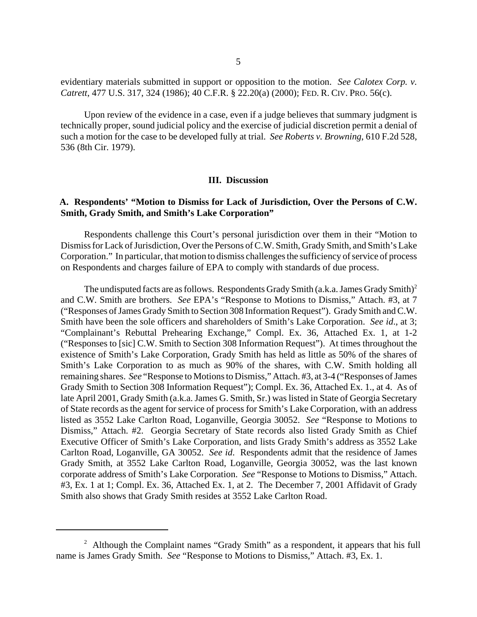evidentiary materials submitted in support or opposition to the motion. *See Calotex Corp. v. Catrett*, 477 U.S. 317, 324 (1986); 40 C.F.R. § 22.20(a) (2000); FED. R. CIV. PRO. 56(c).

Upon review of the evidence in a case, even if a judge believes that summary judgment is technically proper, sound judicial policy and the exercise of judicial discretion permit a denial of such a motion for the case to be developed fully at trial. *See Roberts v. Browning*, 610 F.2d 528, 536 (8th Cir. 1979).

#### **III. Discussion**

### **A. Respondents' "Motion to Dismiss for Lack of Jurisdiction, Over the Persons of C.W. Smith, Grady Smith, and Smith's Lake Corporation"**

Respondents challenge this Court's personal jurisdiction over them in their "Motion to Dismiss for Lack of Jurisdiction, Over the Persons of C.W. Smith, Grady Smith, and Smith's Lake Corporation." In particular, that motion to dismiss challenges the sufficiency of service of process on Respondents and charges failure of EPA to comply with standards of due process.

The undisputed facts are as follows. Respondents Grady Smith (a.k.a. James Grady Smith)<sup>2</sup> and C.W. Smith are brothers. *See* EPA's "Response to Motions to Dismiss," Attach. #3, at 7 ("Responses of James Grady Smith to Section 308 Information Request"). Grady Smith and C.W. Smith have been the sole officers and shareholders of Smith's Lake Corporation. *See id*., at 3; "Complainant's Rebuttal Prehearing Exchange," Compl. Ex. 36, Attached Ex. 1, at 1-2 ("Responses to [sic] C.W. Smith to Section 308 Information Request"). At times throughout the existence of Smith's Lake Corporation, Grady Smith has held as little as 50% of the shares of Smith's Lake Corporation to as much as 90% of the shares, with C.W. Smith holding all remaining shares. *See* "Response to Motions to Dismiss," Attach. #3, at 3-4 ("Responses of James Grady Smith to Section 308 Information Request"); Compl. Ex. 36, Attached Ex. 1., at 4. As of late April 2001, Grady Smith (a.k.a. James G. Smith, Sr.) was listed in State of Georgia Secretary of State records as the agent for service of process for Smith's Lake Corporation, with an address listed as 3552 Lake Carlton Road, Loganville, Georgia 30052. *See* "Response to Motions to Dismiss," Attach. #2. Georgia Secretary of State records also listed Grady Smith as Chief Executive Officer of Smith's Lake Corporation, and lists Grady Smith's address as 3552 Lake Carlton Road, Loganville, GA 30052. *See id*. Respondents admit that the residence of James Grady Smith, at 3552 Lake Carlton Road, Loganville, Georgia 30052, was the last known corporate address of Smith's Lake Corporation. *See* "Response to Motions to Dismiss," Attach. #3, Ex. 1 at 1; Compl. Ex. 36, Attached Ex. 1, at 2. The December 7, 2001 Affidavit of Grady Smith also shows that Grady Smith resides at 3552 Lake Carlton Road.

<sup>&</sup>lt;sup>2</sup> Although the Complaint names "Grady Smith" as a respondent, it appears that his full name is James Grady Smith. *See* "Response to Motions to Dismiss," Attach. #3, Ex. 1.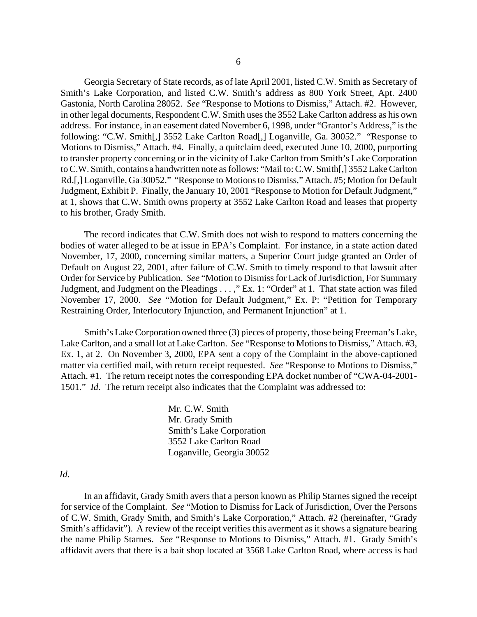Georgia Secretary of State records, as of late April 2001, listed C.W. Smith as Secretary of Smith's Lake Corporation, and listed C.W. Smith's address as 800 York Street, Apt. 2400 Gastonia, North Carolina 28052. *See* "Response to Motions to Dismiss," Attach. #2. However, in other legal documents, Respondent C.W. Smith uses the 3552 Lake Carlton address as his own address. For instance, in an easement dated November 6, 1998, under "Grantor's Address," is the following: "C.W. Smith[,] 3552 Lake Carlton Road[,] Loganville, Ga. 30052." "Response to Motions to Dismiss," Attach. #4. Finally, a quitclaim deed, executed June 10, 2000, purporting to transfer property concerning or in the vicinity of Lake Carlton from Smith's Lake Corporation to C.W. Smith, contains a handwritten note as follows: "Mail to: C.W. Smith[,] 3552 Lake Carlton Rd.[,] Loganville, Ga 30052." "Response to Motions to Dismiss," Attach. #5; Motion for Default Judgment, Exhibit P. Finally, the January 10, 2001 "Response to Motion for Default Judgment," at 1, shows that C.W. Smith owns property at 3552 Lake Carlton Road and leases that property to his brother, Grady Smith.

The record indicates that C.W. Smith does not wish to respond to matters concerning the bodies of water alleged to be at issue in EPA's Complaint. For instance, in a state action dated November, 17, 2000, concerning similar matters, a Superior Court judge granted an Order of Default on August 22, 2001, after failure of C.W. Smith to timely respond to that lawsuit after Order for Service by Publication. *See* "Motion to Dismiss for Lack of Jurisdiction, For Summary Judgment, and Judgment on the Pleadings . . . ," Ex. 1: "Order" at 1. That state action was filed November 17, 2000. *See* "Motion for Default Judgment," Ex. P: "Petition for Temporary Restraining Order, Interlocutory Injunction, and Permanent Injunction" at 1.

Smith's Lake Corporation owned three (3) pieces of property, those being Freeman's Lake, Lake Carlton, and a small lot at Lake Carlton. *See* "Response to Motions to Dismiss," Attach. #3, Ex. 1, at 2. On November 3, 2000, EPA sent a copy of the Complaint in the above-captioned matter via certified mail, with return receipt requested. *See* "Response to Motions to Dismiss," Attach. #1. The return receipt notes the corresponding EPA docket number of "CWA-04-2001- 1501." *Id*. The return receipt also indicates that the Complaint was addressed to:

> Mr. C.W. Smith Mr. Grady Smith Smith's Lake Corporation 3552 Lake Carlton Road Loganville, Georgia 30052

*Id*.

In an affidavit, Grady Smith avers that a person known as Philip Starnes signed the receipt for service of the Complaint. *See* "Motion to Dismiss for Lack of Jurisdiction, Over the Persons of C.W. Smith, Grady Smith, and Smith's Lake Corporation," Attach. #2 (hereinafter, "Grady Smith's affidavit"). A review of the receipt verifies this averment as it shows a signature bearing the name Philip Starnes. *See* "Response to Motions to Dismiss," Attach. #1. Grady Smith's affidavit avers that there is a bait shop located at 3568 Lake Carlton Road, where access is had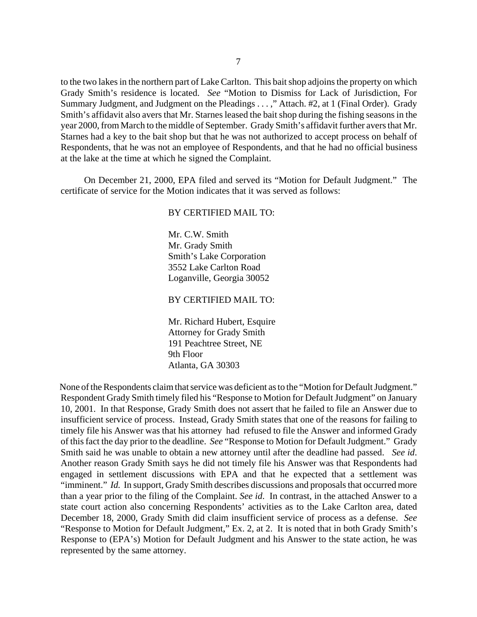to the two lakes in the northern part of Lake Carlton. This bait shop adjoins the property on which Grady Smith's residence is located. *See* "Motion to Dismiss for Lack of Jurisdiction, For Summary Judgment, and Judgment on the Pleadings . . . ," Attach. #2, at 1 (Final Order). Grady Smith's affidavit also avers that Mr. Starnes leased the bait shop during the fishing seasons in the year 2000, from March to the middle of September. Grady Smith's affidavit further avers that Mr. Starnes had a key to the bait shop but that he was not authorized to accept process on behalf of Respondents, that he was not an employee of Respondents, and that he had no official business at the lake at the time at which he signed the Complaint.

On December 21, 2000, EPA filed and served its "Motion for Default Judgment." The certificate of service for the Motion indicates that it was served as follows:

### BY CERTIFIED MAIL TO:

Mr. C.W. Smith Mr. Grady Smith Smith's Lake Corporation 3552 Lake Carlton Road Loganville, Georgia 30052

### BY CERTIFIED MAIL TO:

Mr. Richard Hubert, Esquire Attorney for Grady Smith 191 Peachtree Street, NE 9th Floor Atlanta, GA 30303

None of the Respondents claim that service was deficient as to the "Motion for Default Judgment." Respondent Grady Smith timely filed his "Response to Motion for Default Judgment" on January 10, 2001. In that Response, Grady Smith does not assert that he failed to file an Answer due to insufficient service of process. Instead, Grady Smith states that one of the reasons for failing to timely file his Answer was that his attorney had refused to file the Answer and informed Grady of this fact the day prior to the deadline. *See* "Response to Motion for Default Judgment." Grady Smith said he was unable to obtain a new attorney until after the deadline had passed. *See id*. Another reason Grady Smith says he did not timely file his Answer was that Respondents had engaged in settlement discussions with EPA and that he expected that a settlement was "imminent." *Id.* In support, Grady Smith describes discussions and proposals that occurred more than a year prior to the filing of the Complaint. *See id*. In contrast, in the attached Answer to a state court action also concerning Respondents' activities as to the Lake Carlton area, dated December 18, 2000, Grady Smith did claim insufficient service of process as a defense. *See*  "Response to Motion for Default Judgment," Ex. 2, at 2. It is noted that in both Grady Smith's Response to (EPA's) Motion for Default Judgment and his Answer to the state action, he was represented by the same attorney.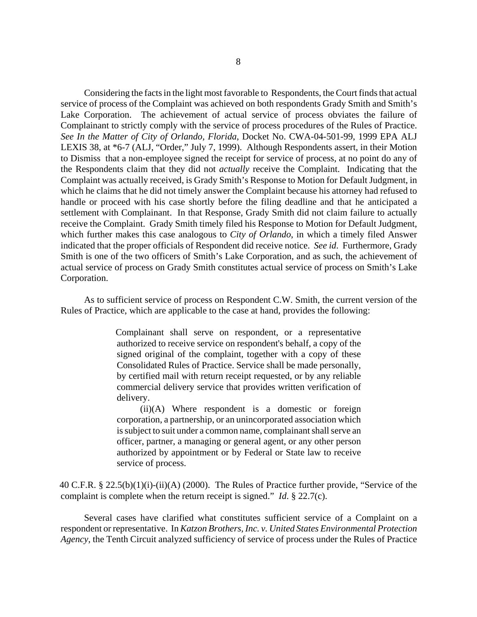Considering the facts in the light most favorable to Respondents, the Court finds that actual service of process of the Complaint was achieved on both respondents Grady Smith and Smith's Lake Corporation. The achievement of actual service of process obviates the failure of Complainant to strictly comply with the service of process procedures of the Rules of Practice. *See In the Matter of City of Orlando, Florida*, Docket No. CWA-04-501-99, 1999 EPA ALJ LEXIS 38, at \*6-7 (ALJ, "Order," July 7, 1999). Although Respondents assert, in their Motion to Dismiss that a non-employee signed the receipt for service of process, at no point do any of the Respondents claim that they did not *actually* receive the Complaint. Indicating that the Complaint was actually received, is Grady Smith's Response to Motion for Default Judgment, in which he claims that he did not timely answer the Complaint because his attorney had refused to handle or proceed with his case shortly before the filing deadline and that he anticipated a settlement with Complainant. In that Response, Grady Smith did not claim failure to actually receive the Complaint. Grady Smith timely filed his Response to Motion for Default Judgment, which further makes this case analogous to *City of Orlando*, in which a timely filed Answer indicated that the proper officials of Respondent did receive notice. *See id*. Furthermore, Grady Smith is one of the two officers of Smith's Lake Corporation, and as such, the achievement of actual service of process on Grady Smith constitutes actual service of process on Smith's Lake Corporation.

As to sufficient service of process on Respondent C.W. Smith, the current version of the Rules of Practice, which are applicable to the case at hand, provides the following:

> Complainant shall serve on respondent, or a representative authorized to receive service on respondent's behalf, a copy of the signed original of the complaint, together with a copy of these Consolidated Rules of Practice. Service shall be made personally, by certified mail with return receipt requested, or by any reliable commercial delivery service that provides written verification of delivery.

> (ii)(A) Where respondent is a domestic or foreign corporation, a partnership, or an unincorporated association which is subject to suit under a common name, complainant shall serve an officer, partner, a managing or general agent, or any other person authorized by appointment or by Federal or State law to receive service of process.

40 C.F.R. § 22.5(b)(1)(i)-(ii)(A) (2000). The Rules of Practice further provide, "Service of the complaint is complete when the return receipt is signed." *Id*. § 22.7(c).

Several cases have clarified what constitutes sufficient service of a Complaint on a respondent or representative. In *Katzon Brothers, Inc. v. United States Environmental Protection Agency*, the Tenth Circuit analyzed sufficiency of service of process under the Rules of Practice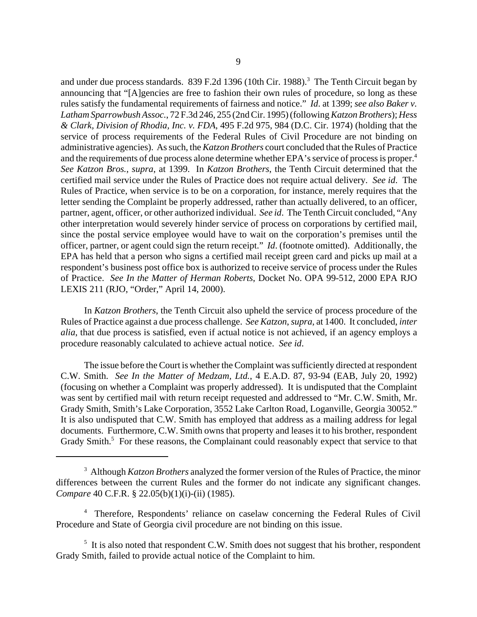and under due process standards. 839 F.2d 1396 (10th Cir. 1988).<sup>3</sup> The Tenth Circuit began by announcing that "[A]gencies are free to fashion their own rules of procedure, so long as these rules satisfy the fundamental requirements of fairness and notice." *Id*. at 1399; *see also Baker v. Latham Sparrowbush Assoc.*, 72 F.3d 246, 255 (2nd Cir. 1995) (following *Katzon Brothers*); *Hess & Clark, Division of Rhodia, Inc. v. FDA*, 495 F.2d 975, 984 (D.C. Cir. 1974) (holding that the service of process requirements of the Federal Rules of Civil Procedure are not binding on administrative agencies). As such, the *Katzon Brothers* court concluded that the Rules of Practice and the requirements of due process alone determine whether EPA's service of process is proper.<sup>4</sup> *See Katzon Bros.*, *supra*, at 1399. In *Katzon Brothers*, the Tenth Circuit determined that the certified mail service under the Rules of Practice does not require actual delivery. *See id*. The Rules of Practice, when service is to be on a corporation, for instance, merely requires that the letter sending the Complaint be properly addressed, rather than actually delivered, to an officer, partner, agent, officer, or other authorized individual. *See id*. The Tenth Circuit concluded, "Any other interpretation would severely hinder service of process on corporations by certified mail, since the postal service employee would have to wait on the corporation's premises until the officer, partner, or agent could sign the return receipt." *Id*. (footnote omitted). Additionally, the EPA has held that a person who signs a certified mail receipt green card and picks up mail at a respondent's business post office box is authorized to receive service of process under the Rules of Practice. *See In the Matter of Herman Roberts*, Docket No. OPA 99-512, 2000 EPA RJO LEXIS 211 (RJO, "Order," April 14, 2000).

In *Katzon Brothers*, the Tenth Circuit also upheld the service of process procedure of the Rules of Practice against a due process challenge. *See Katzon*, *supra*, at 1400. It concluded, *inter alia*, that due process is satisfied, even if actual notice is not achieved, if an agency employs a procedure reasonably calculated to achieve actual notice. *See id*.

The issue before the Court is whether the Complaint was sufficiently directed at respondent C.W. Smith. *See In the Matter of Medzam, Ltd.*, 4 E.A.D. 87, 93-94 (EAB, July 20, 1992) (focusing on whether a Complaint was properly addressed). It is undisputed that the Complaint was sent by certified mail with return receipt requested and addressed to "Mr. C.W. Smith, Mr. Grady Smith, Smith's Lake Corporation, 3552 Lake Carlton Road, Loganville, Georgia 30052." It is also undisputed that C.W. Smith has employed that address as a mailing address for legal documents. Furthermore, C.W. Smith owns that property and leases it to his brother, respondent Grady Smith.<sup>5</sup> For these reasons, the Complainant could reasonably expect that service to that

<sup>3</sup> Although *Katzon Brothers* analyzed the former version of the Rules of Practice, the minor differences between the current Rules and the former do not indicate any significant changes. *Compare* 40 C.F.R. § 22.05(b)(1)(i)-(ii) (1985).

<sup>&</sup>lt;sup>4</sup> Therefore, Respondents' reliance on caselaw concerning the Federal Rules of Civil Procedure and State of Georgia civil procedure are not binding on this issue.

 $<sup>5</sup>$  It is also noted that respondent C.W. Smith does not suggest that his brother, respondent</sup> Grady Smith, failed to provide actual notice of the Complaint to him.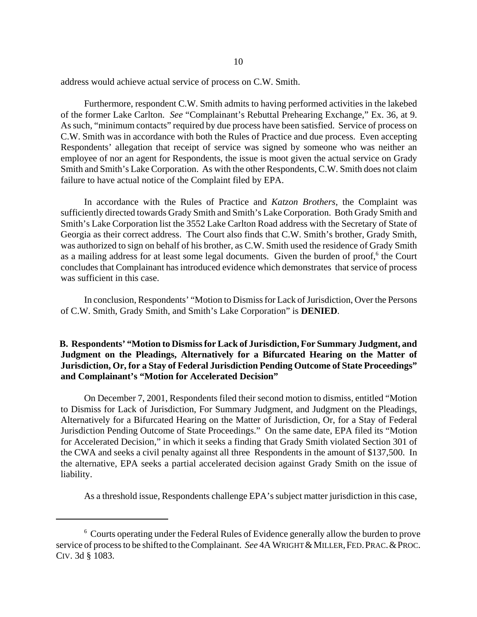address would achieve actual service of process on C.W. Smith.

Furthermore, respondent C.W. Smith admits to having performed activities in the lakebed of the former Lake Carlton. *See* "Complainant's Rebuttal Prehearing Exchange," Ex. 36, at 9. As such, "minimum contacts" required by due process have been satisfied. Service of process on C.W. Smith was in accordance with both the Rules of Practice and due process. Even accepting Respondents' allegation that receipt of service was signed by someone who was neither an employee of nor an agent for Respondents, the issue is moot given the actual service on Grady Smith and Smith's Lake Corporation. As with the other Respondents, C.W. Smith does not claim failure to have actual notice of the Complaint filed by EPA.

In accordance with the Rules of Practice and *Katzon Brothers*, the Complaint was sufficiently directed towards Grady Smith and Smith's Lake Corporation. Both Grady Smith and Smith's Lake Corporation list the 3552 Lake Carlton Road address with the Secretary of State of Georgia as their correct address. The Court also finds that C.W. Smith's brother, Grady Smith, was authorized to sign on behalf of his brother, as C.W. Smith used the residence of Grady Smith as a mailing address for at least some legal documents. Given the burden of proof,<sup>6</sup> the Court concludes that Complainant has introduced evidence which demonstrates that service of process was sufficient in this case.

In conclusion, Respondents' "Motion to Dismiss for Lack of Jurisdiction, Over the Persons of C.W. Smith, Grady Smith, and Smith's Lake Corporation" is **DENIED**.

# **B. Respondents' "Motion to Dismiss for Lack of Jurisdiction, For Summary Judgment, and Judgment on the Pleadings, Alternatively for a Bifurcated Hearing on the Matter of Jurisdiction, Or, for a Stay of Federal Jurisdiction Pending Outcome of State Proceedings" and Complainant's "Motion for Accelerated Decision"**

On December 7, 2001, Respondents filed their second motion to dismiss, entitled "Motion to Dismiss for Lack of Jurisdiction, For Summary Judgment, and Judgment on the Pleadings, Alternatively for a Bifurcated Hearing on the Matter of Jurisdiction, Or, for a Stay of Federal Jurisdiction Pending Outcome of State Proceedings." On the same date, EPA filed its "Motion for Accelerated Decision," in which it seeks a finding that Grady Smith violated Section 301 of the CWA and seeks a civil penalty against all three Respondents in the amount of \$137,500. In the alternative, EPA seeks a partial accelerated decision against Grady Smith on the issue of liability.

As a threshold issue, Respondents challenge EPA's subject matter jurisdiction in this case,

<sup>6</sup> Courts operating under the Federal Rules of Evidence generally allow the burden to prove service of process to be shifted to the Complainant. *See* 4A WRIGHT & MILLER, FED. PRAC. & PROC. CIV. 3d § 1083.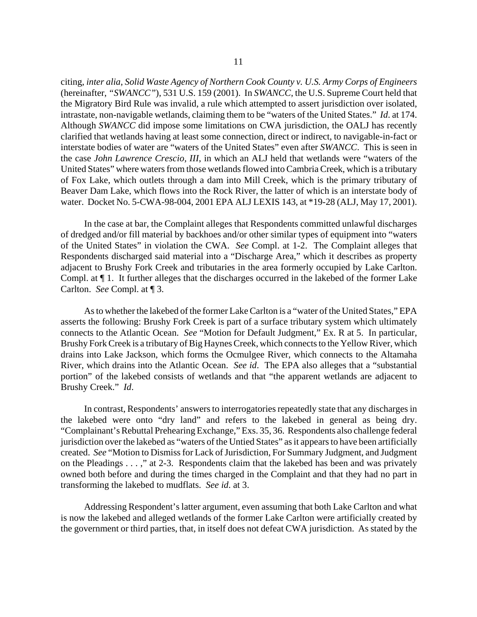citing, *inter alia*, *Solid Waste Agency of Northern Cook County v. U.S. Army Corps of Engineers*  (hereinafter, *"SWANCC"*), 531 U.S. 159 (2001). In *SWANCC*, the U.S. Supreme Court held that the Migratory Bird Rule was invalid, a rule which attempted to assert jurisdiction over isolated, intrastate, non-navigable wetlands, claiming them to be "waters of the United States." *Id*. at 174. Although *SWANCC* did impose some limitations on CWA jurisdiction, the OALJ has recently clarified that wetlands having at least some connection, direct or indirect, to navigable-in-fact or interstate bodies of water are "waters of the United States" even after *SWANCC*. This is seen in the case *John Lawrence Crescio, III*, in which an ALJ held that wetlands were "waters of the United States" where waters from those wetlands flowed into Cambria Creek, which is a tributary of Fox Lake, which outlets through a dam into Mill Creek, which is the primary tributary of Beaver Dam Lake, which flows into the Rock River, the latter of which is an interstate body of water. Docket No. 5-CWA-98-004, 2001 EPA ALJ LEXIS 143, at \*19-28 (ALJ, May 17, 2001).

In the case at bar, the Complaint alleges that Respondents committed unlawful discharges of dredged and/or fill material by backhoes and/or other similar types of equipment into "waters of the United States" in violation the CWA. *See* Compl. at 1-2. The Complaint alleges that Respondents discharged said material into a "Discharge Area," which it describes as property adjacent to Brushy Fork Creek and tributaries in the area formerly occupied by Lake Carlton. Compl. at ¶ 1. It further alleges that the discharges occurred in the lakebed of the former Lake Carlton. *See* Compl. at ¶ 3.

As to whether the lakebed of the former Lake Carlton is a "water of the United States," EPA asserts the following: Brushy Fork Creek is part of a surface tributary system which ultimately connects to the Atlantic Ocean. *See* "Motion for Default Judgment," Ex. R at 5. In particular, Brushy Fork Creek is a tributary of Big Haynes Creek, which connects to the Yellow River, which drains into Lake Jackson, which forms the Ocmulgee River, which connects to the Altamaha River, which drains into the Atlantic Ocean. *See id*. The EPA also alleges that a "substantial portion" of the lakebed consists of wetlands and that "the apparent wetlands are adjacent to Brushy Creek." *Id*.

In contrast, Respondents' answers to interrogatories repeatedly state that any discharges in the lakebed were onto "dry land" and refers to the lakebed in general as being dry. "Complainant's Rebuttal Prehearing Exchange," Exs. 35, 36. Respondents also challenge federal jurisdiction over the lakebed as "waters of the Untied States" as it appears to have been artificially created. *See* "Motion to Dismiss for Lack of Jurisdiction, For Summary Judgment, and Judgment on the Pleadings . . . ," at 2-3. Respondents claim that the lakebed has been and was privately owned both before and during the times charged in the Complaint and that they had no part in transforming the lakebed to mudflats. *See id*. at 3.

Addressing Respondent's latter argument, even assuming that both Lake Carlton and what is now the lakebed and alleged wetlands of the former Lake Carlton were artificially created by the government or third parties, that, in itself does not defeat CWA jurisdiction. As stated by the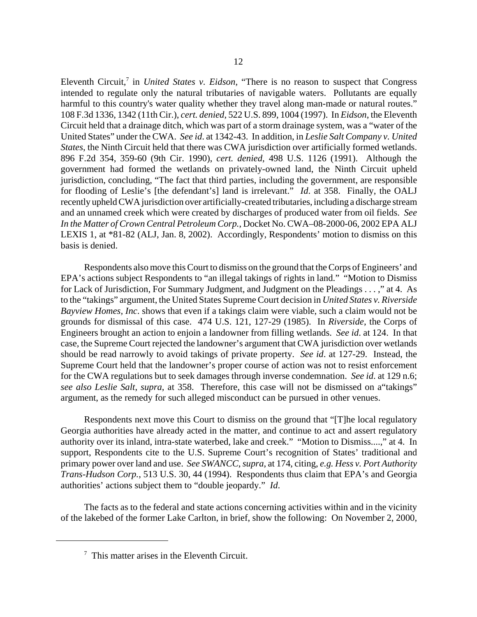Eleventh Circuit,<sup>7</sup> in *United States v. Eidson*, "There is no reason to suspect that Congress intended to regulate only the natural tributaries of navigable waters. Pollutants are equally harmful to this country's water quality whether they travel along man-made or natural routes." 108 F.3d 1336, 1342 (11th Cir.), *cert. denied*, 522 U.S. 899, 1004 (1997). In *Eidson*, the Eleventh Circuit held that a drainage ditch, which was part of a storm drainage system, was a "water of the United States" under the CWA. *See id*. at 1342-43. In addition, in *Leslie Salt Company v. United States*, the Ninth Circuit held that there was CWA jurisdiction over artificially formed wetlands. 896 F.2d 354, 359-60 (9th Cir. 1990), *cert. denied*, 498 U.S. 1126 (1991). Although the government had formed the wetlands on privately-owned land, the Ninth Circuit upheld jurisdiction, concluding, "The fact that third parties, including the government, are responsible for flooding of Leslie's [the defendant's] land is irrelevant." *Id*. at 358. Finally, the OALJ recently upheld CWA jurisdiction over artificially-created tributaries, including a discharge stream and an unnamed creek which were created by discharges of produced water from oil fields. *See In the Matter of Crown Central Petroleum Corp.*, Docket No. CWA–08-2000-06, 2002 EPA ALJ LEXIS 1, at \*81-82 (ALJ, Jan. 8, 2002). Accordingly, Respondents' motion to dismiss on this basis is denied.

Respondents also move this Court to dismiss on the ground that the Corps of Engineers' and EPA's actions subject Respondents to "an illegal takings of rights in land." "Motion to Dismiss for Lack of Jurisdiction, For Summary Judgment, and Judgment on the Pleadings . . . ," at 4. As to the "takings" argument, the United States Supreme Court decision in *United States v. Riverside Bayview Homes, Inc*. shows that even if a takings claim were viable, such a claim would not be grounds for dismissal of this case. 474 U.S. 121, 127-29 (1985). In *Riverside*, the Corps of Engineers brought an action to enjoin a landowner from filling wetlands. *See id*. at 124. In that case, the Supreme Court rejected the landowner's argument that CWA jurisdiction over wetlands should be read narrowly to avoid takings of private property. *See id*. at 127-29. Instead, the Supreme Court held that the landowner's proper course of action was not to resist enforcement for the CWA regulations but to seek damages through inverse condemnation. *See id*. at 129 n.6; *see also Leslie Salt*, *supra*, at 358. Therefore, this case will not be dismissed on a"takings" argument, as the remedy for such alleged misconduct can be pursued in other venues.

Respondents next move this Court to dismiss on the ground that "[T]he local regulatory Georgia authorities have already acted in the matter, and continue to act and assert regulatory authority over its inland, intra-state waterbed, lake and creek." "Motion to Dismiss....," at 4. In support, Respondents cite to the U.S. Supreme Court's recognition of States' traditional and primary power over land and use. *See SWANCC*, *supra*, at 174, citing, *e.g. Hess v. Port Authority Trans-Hudson Corp.*, 513 U.S. 30, 44 (1994). Respondents thus claim that EPA's and Georgia authorities' actions subject them to "double jeopardy." *Id*.

The facts as to the federal and state actions concerning activities within and in the vicinity of the lakebed of the former Lake Carlton, in brief, show the following: On November 2, 2000,

 $<sup>7</sup>$  This matter arises in the Eleventh Circuit.</sup>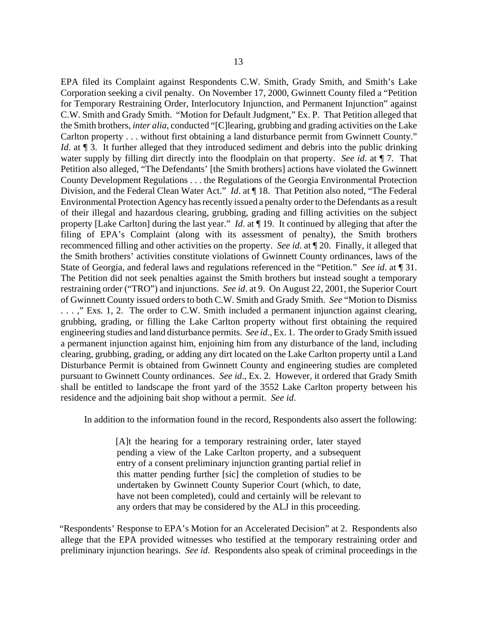EPA filed its Complaint against Respondents C.W. Smith, Grady Smith, and Smith's Lake Corporation seeking a civil penalty. On November 17, 2000, Gwinnett County filed a "Petition for Temporary Restraining Order, Interlocutory Injunction, and Permanent Injunction" against C.W. Smith and Grady Smith. "Motion for Default Judgment," Ex. P. That Petition alleged that the Smith brothers, *inter alia*, conducted "[C]learing, grubbing and grading activities on the Lake Carlton property . . . without first obtaining a land disturbance permit from Gwinnett County." *Id.* at  $\llbracket 3$ . It further alleged that they introduced sediment and debris into the public drinking water supply by filling dirt directly into the floodplain on that property. *See id*. at ¶ 7. That Petition also alleged, "The Defendants' [the Smith brothers] actions have violated the Gwinnett County Development Regulations . . . the Regulations of the Georgia Environmental Protection Division, and the Federal Clean Water Act." *Id*. at ¶ 18. That Petition also noted, "The Federal Environmental Protection Agency has recently issued a penalty order to the Defendants as a result of their illegal and hazardous clearing, grubbing, grading and filling activities on the subject property [Lake Carlton] during the last year." *Id*. at ¶ 19. It continued by alleging that after the filing of EPA's Complaint (along with its assessment of penalty), the Smith brothers recommenced filling and other activities on the property. *See id*. at ¶ 20. Finally, it alleged that the Smith brothers' activities constitute violations of Gwinnett County ordinances, laws of the State of Georgia, and federal laws and regulations referenced in the "Petition." *See id*. at ¶ 31. The Petition did not seek penalties against the Smith brothers but instead sought a temporary restraining order ("TRO") and injunctions. *See id*. at 9. On August 22, 2001, the Superior Court of Gwinnett County issued orders to both C.W. Smith and Grady Smith. *See* "Motion to Dismiss ...," Exs. 1, 2. The order to C.W. Smith included a permanent injunction against clearing, grubbing, grading, or filling the Lake Carlton property without first obtaining the required engineering studies and land disturbance permits. *See id*., Ex. 1. The order to Grady Smith issued a permanent injunction against him, enjoining him from any disturbance of the land, including clearing, grubbing, grading, or adding any dirt located on the Lake Carlton property until a Land Disturbance Permit is obtained from Gwinnett County and engineering studies are completed pursuant to Gwinnett County ordinances. *See id*., Ex. 2. However, it ordered that Grady Smith shall be entitled to landscape the front yard of the 3552 Lake Carlton property between his residence and the adjoining bait shop without a permit. *See id*.

In addition to the information found in the record, Respondents also assert the following:

[A]t the hearing for a temporary restraining order, later stayed pending a view of the Lake Carlton property, and a subsequent entry of a consent preliminary injunction granting partial relief in this matter pending further [sic] the completion of studies to be undertaken by Gwinnett County Superior Court (which, to date, have not been completed), could and certainly will be relevant to any orders that may be considered by the ALJ in this proceeding.

"Respondents' Response to EPA's Motion for an Accelerated Decision" at 2. Respondents also allege that the EPA provided witnesses who testified at the temporary restraining order and preliminary injunction hearings. *See id*. Respondents also speak of criminal proceedings in the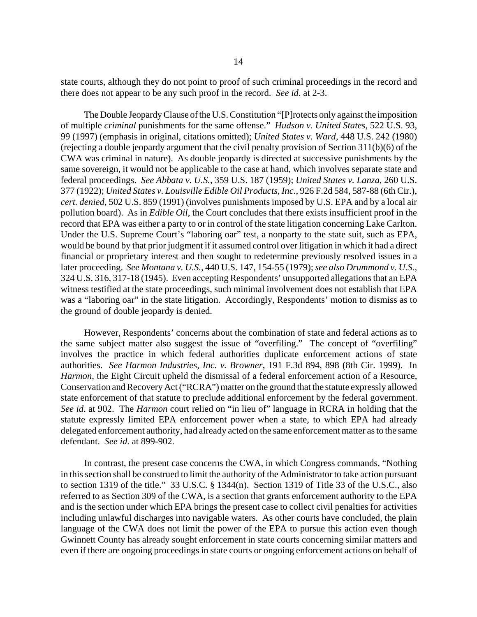state courts, although they do not point to proof of such criminal proceedings in the record and there does not appear to be any such proof in the record. *See id*. at 2-3.

The Double Jeopardy Clause of the U.S. Constitution "[P]rotects only against the imposition of multiple *criminal* punishments for the same offense." *Hudson v. United States*, 522 U.S. 93, 99 (1997) (emphasis in original, citations omitted); *United States v. Ward*, 448 U.S. 242 (1980) (rejecting a double jeopardy argument that the civil penalty provision of Section 311(b)(6) of the CWA was criminal in nature). As double jeopardy is directed at successive punishments by the same sovereign, it would not be applicable to the case at hand, which involves separate state and federal proceedings. *See Abbata v. U.S.*, 359 U.S. 187 (1959); *United States v. Lanza*, 260 U.S. 377 (1922); *United States v. Louisville Edible Oil Products*, *Inc*., 926 F.2d 584, 587-88 (6th Cir.), *cert. denied*, 502 U.S. 859 (1991) (involves punishments imposed by U.S. EPA and by a local air pollution board). As in *Edible Oil*, the Court concludes that there exists insufficient proof in the record that EPA was either a party to or in control of the state litigation concerning Lake Carlton. Under the U.S. Supreme Court's "laboring oar" test, a nonparty to the state suit, such as EPA, would be bound by that prior judgment if it assumed control over litigation in which it had a direct financial or proprietary interest and then sought to redetermine previously resolved issues in a later proceeding. *See Montana v. U.S.*, 440 U.S. 147, 154-55 (1979); *see also Drummond v. U.S.*, 324 U.S. 316, 317-18 (1945). Even accepting Respondents' unsupported allegations that an EPA witness testified at the state proceedings, such minimal involvement does not establish that EPA was a "laboring oar" in the state litigation. Accordingly, Respondents' motion to dismiss as to the ground of double jeopardy is denied.

However, Respondents' concerns about the combination of state and federal actions as to the same subject matter also suggest the issue of "overfiling." The concept of "overfiling" involves the practice in which federal authorities duplicate enforcement actions of state authorities. *See Harmon Industries, Inc. v. Browner*, 191 F.3d 894, 898 (8th Cir. 1999). In *Harmon*, the Eight Circuit upheld the dismissal of a federal enforcement action of a Resource, Conservation and Recovery Act ("RCRA") matter on the ground that the statute expressly allowed state enforcement of that statute to preclude additional enforcement by the federal government. *See id*. at 902. The *Harmon* court relied on "in lieu of" language in RCRA in holding that the statute expressly limited EPA enforcement power when a state, to which EPA had already delegated enforcement authority, had already acted on the same enforcement matter as to the same defendant. *See id*. at 899-902.

In contrast, the present case concerns the CWA, in which Congress commands, "Nothing in this section shall be construed to limit the authority of the Administrator to take action pursuant to section 1319 of the title." 33 U.S.C. § 1344(n). Section 1319 of Title 33 of the U.S.C., also referred to as Section 309 of the CWA, is a section that grants enforcement authority to the EPA and is the section under which EPA brings the present case to collect civil penalties for activities including unlawful discharges into navigable waters. As other courts have concluded, the plain language of the CWA does not limit the power of the EPA to pursue this action even though Gwinnett County has already sought enforcement in state courts concerning similar matters and even if there are ongoing proceedings in state courts or ongoing enforcement actions on behalf of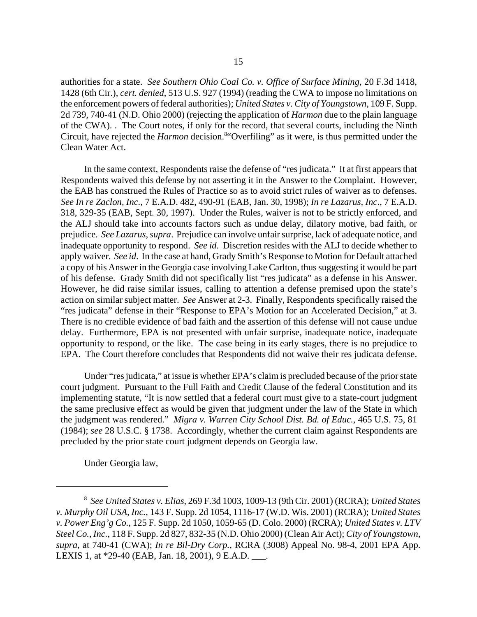authorities for a state. *See Southern Ohio Coal Co. v. Office of Surface Mining*, 20 F.3d 1418, 1428 (6th Cir.), *cert. denied*, 513 U.S. 927 (1994) (reading the CWA to impose no limitations on the enforcement powers of federal authorities); *United States v. City of Youngstown*, 109 F. Supp. 2d 739, 740-41 (N.D. Ohio 2000) (rejecting the application of *Harmon* due to the plain language of the CWA). . The Court notes, if only for the record, that several courts, including the Ninth Circuit, have rejected the *Harmon* decision.<sup>8</sup> "Overfiling" as it were, is thus permitted under the Clean Water Act.

In the same context, Respondents raise the defense of "res judicata." It at first appears that Respondents waived this defense by not asserting it in the Answer to the Complaint. However, the EAB has construed the Rules of Practice so as to avoid strict rules of waiver as to defenses. *See In re Zaclon, Inc.*, 7 E.A.D. 482, 490-91 (EAB, Jan. 30, 1998); *In re Lazarus, Inc*., 7 E.A.D. 318, 329-35 (EAB, Sept. 30, 1997). Under the Rules, waiver is not to be strictly enforced, and the ALJ should take into accounts factors such as undue delay, dilatory motive, bad faith, or prejudice. *See Lazarus*, *supra*. Prejudice can involve unfair surprise, lack of adequate notice, and inadequate opportunity to respond. *See id*. Discretion resides with the ALJ to decide whether to apply waiver. *See id*. In the case at hand, Grady Smith's Response to Motion for Default attached a copy of his Answer in the Georgia case involving Lake Carlton, thus suggesting it would be part of his defense. Grady Smith did not specifically list "res judicata" as a defense in his Answer. However, he did raise similar issues, calling to attention a defense premised upon the state's action on similar subject matter. *See* Answer at 2-3. Finally, Respondents specifically raised the "res judicata" defense in their "Response to EPA's Motion for an Accelerated Decision," at 3. There is no credible evidence of bad faith and the assertion of this defense will not cause undue delay. Furthermore, EPA is not presented with unfair surprise, inadequate notice, inadequate opportunity to respond, or the like. The case being in its early stages, there is no prejudice to EPA. The Court therefore concludes that Respondents did not waive their res judicata defense.

Under "res judicata," at issue is whether EPA's claim is precluded because of the prior state court judgment. Pursuant to the Full Faith and Credit Clause of the federal Constitution and its implementing statute, "It is now settled that a federal court must give to a state-court judgment the same preclusive effect as would be given that judgment under the law of the State in which the judgment was rendered." *Migra v. Warren City School Dist. Bd. of Educ.*, 465 U.S. 75, 81 (1984); *see* 28 U.S.C. § 1738. Accordingly, whether the current claim against Respondents are precluded by the prior state court judgment depends on Georgia law.

Under Georgia law,

<sup>8</sup>*See United States v. Elias*, 269 F.3d 1003, 1009-13 (9th Cir. 2001) (RCRA); *United States v. Murphy Oil USA, Inc.*, 143 F. Supp. 2d 1054, 1116-17 (W.D. Wis. 2001) (RCRA); *United States v. Power Eng'g Co.*, 125 F. Supp. 2d 1050, 1059-65 (D. Colo. 2000) (RCRA); *United States v. LTV Steel Co., Inc.*, 118 F. Supp. 2d 827, 832-35 (N.D. Ohio 2000) (Clean Air Act); *City of Youngstown*, *supra*, at 740-41 (CWA); *In re Bil-Dry Corp.*, RCRA (3008) Appeal No. 98-4, 2001 EPA App. LEXIS 1, at \*29-40 (EAB, Jan. 18, 2001), 9 E.A.D. \_\_\_.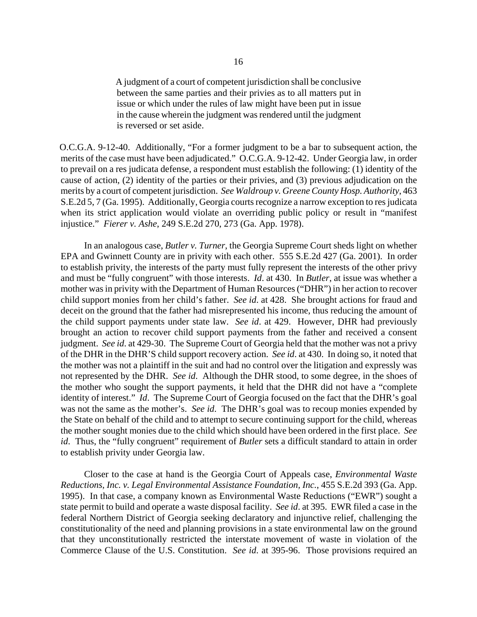A judgment of a court of competent jurisdiction shall be conclusive between the same parties and their privies as to all matters put in issue or which under the rules of law might have been put in issue in the cause wherein the judgment was rendered until the judgment is reversed or set aside.

O.C.G.A. 9-12-40. Additionally, "For a former judgment to be a bar to subsequent action, the merits of the case must have been adjudicated." O.C.G.A. 9-12-42. Under Georgia law, in order to prevail on a res judicata defense, a respondent must establish the following: (1) identity of the cause of action, (2) identity of the parties or their privies, and (3) previous adjudication on the merits by a court of competent jurisdiction. *See Waldroup v. Greene County Hosp. Authority*, 463 S.E.2d 5, 7 (Ga. 1995). Additionally, Georgia courts recognize a narrow exception to res judicata when its strict application would violate an overriding public policy or result in "manifest injustice." *Fierer v. Ashe*, 249 S.E.2d 270, 273 (Ga. App. 1978).

In an analogous case, *Butler v. Turner*, the Georgia Supreme Court sheds light on whether EPA and Gwinnett County are in privity with each other. 555 S.E.2d 427 (Ga. 2001). In order to establish privity, the interests of the party must fully represent the interests of the other privy and must be "fully congruent" with those interests. *Id*. at 430. In *Butler*, at issue was whether a mother was in privity with the Department of Human Resources ("DHR") in her action to recover child support monies from her child's father. *See id*. at 428. She brought actions for fraud and deceit on the ground that the father had misrepresented his income, thus reducing the amount of the child support payments under state law. *See id*. at 429. However, DHR had previously brought an action to recover child support payments from the father and received a consent judgment. *See id*. at 429-30. The Supreme Court of Georgia held that the mother was not a privy of the DHR in the DHR'S child support recovery action. *See id*. at 430. In doing so, it noted that the mother was not a plaintiff in the suit and had no control over the litigation and expressly was not represented by the DHR. *See id*. Although the DHR stood, to some degree, in the shoes of the mother who sought the support payments, it held that the DHR did not have a "complete identity of interest." *Id*. The Supreme Court of Georgia focused on the fact that the DHR's goal was not the same as the mother's. *See id*. The DHR's goal was to recoup monies expended by the State on behalf of the child and to attempt to secure continuing support for the child, whereas the mother sought monies due to the child which should have been ordered in the first place. *See id*. Thus, the "fully congruent" requirement of *Butler* sets a difficult standard to attain in order to establish privity under Georgia law.

Closer to the case at hand is the Georgia Court of Appeals case, *Environmental Waste Reductions, Inc. v. Legal Environmental Assistance Foundation, Inc.*, 455 S.E.2d 393 (Ga. App. 1995). In that case, a company known as Environmental Waste Reductions ("EWR") sought a state permit to build and operate a waste disposal facility. *See id*. at 395. EWR filed a case in the federal Northern District of Georgia seeking declaratory and injunctive relief, challenging the constitutionality of the need and planning provisions in a state environmental law on the ground that they unconstitutionally restricted the interstate movement of waste in violation of the Commerce Clause of the U.S. Constitution. *See id*. at 395-96. Those provisions required an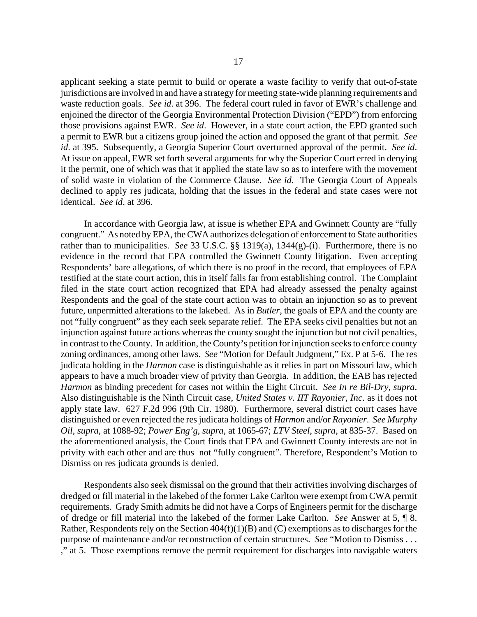applicant seeking a state permit to build or operate a waste facility to verify that out-of-state jurisdictions are involved in and have a strategy for meeting state-wide planning requirements and waste reduction goals. *See id*. at 396. The federal court ruled in favor of EWR's challenge and enjoined the director of the Georgia Environmental Protection Division ("EPD") from enforcing those provisions against EWR. *See id*. However, in a state court action, the EPD granted such a permit to EWR but a citizens group joined the action and opposed the grant of that permit. *See id*. at 395. Subsequently, a Georgia Superior Court overturned approval of the permit. *See id*. At issue on appeal, EWR set forth several arguments for why the Superior Court erred in denying it the permit, one of which was that it applied the state law so as to interfere with the movement of solid waste in violation of the Commerce Clause. *See id*. The Georgia Court of Appeals declined to apply res judicata, holding that the issues in the federal and state cases were not identical. *See id*. at 396.

In accordance with Georgia law, at issue is whether EPA and Gwinnett County are "fully congruent." As noted by EPA, the CWA authorizes delegation of enforcement to State authorities rather than to municipalities. *See* 33 U.S.C. §§ 1319(a), 1344(g)-(i). Furthermore, there is no evidence in the record that EPA controlled the Gwinnett County litigation. Even accepting Respondents' bare allegations, of which there is no proof in the record, that employees of EPA testified at the state court action, this in itself falls far from establishing control. The Complaint filed in the state court action recognized that EPA had already assessed the penalty against Respondents and the goal of the state court action was to obtain an injunction so as to prevent future, unpermitted alterations to the lakebed. As in *Butler*, the goals of EPA and the county are not "fully congruent" as they each seek separate relief. The EPA seeks civil penalties but not an injunction against future actions whereas the county sought the injunction but not civil penalties, in contrast to the County. In addition, the County's petition for injunction seeks to enforce county zoning ordinances, among other laws. *See* "Motion for Default Judgment," Ex. P at 5-6. The res judicata holding in the *Harmon* case is distinguishable as it relies in part on Missouri law, which appears to have a much broader view of privity than Georgia. In addition, the EAB has rejected *Harmon* as binding precedent for cases not within the Eight Circuit. *See In re Bil-Dry*, *supra*. Also distinguishable is the Ninth Circuit case, *United States v. IIT Rayonier, Inc*. as it does not apply state law. 627 F.2d 996 (9th Cir. 1980). Furthermore, several district court cases have distinguished or even rejected the res judicata holdings of *Harmon* and/or *Rayonier*. *See Murphy Oil*, *supra*, at 1088-92; *Power Eng'g*, *supra*, at 1065-67; *LTV Steel*, *supra*, at 835-37. Based on the aforementioned analysis, the Court finds that EPA and Gwinnett County interests are not in privity with each other and are thus not "fully congruent". Therefore, Respondent's Motion to Dismiss on res judicata grounds is denied.

Respondents also seek dismissal on the ground that their activities involving discharges of dredged or fill material in the lakebed of the former Lake Carlton were exempt from CWA permit requirements. Grady Smith admits he did not have a Corps of Engineers permit for the discharge of dredge or fill material into the lakebed of the former Lake Carlton. *See* Answer at 5, ¶ 8. Rather, Respondents rely on the Section 404(f)(1)(B) and (C) exemptions as to discharges for the purpose of maintenance and/or reconstruction of certain structures. *See* "Motion to Dismiss . . . ," at 5. Those exemptions remove the permit requirement for discharges into navigable waters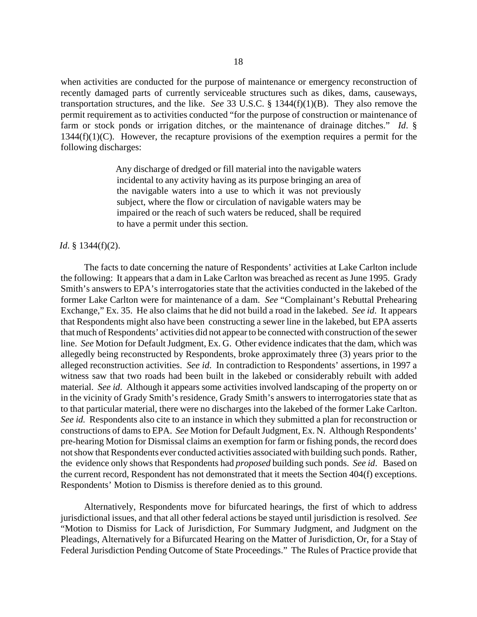when activities are conducted for the purpose of maintenance or emergency reconstruction of recently damaged parts of currently serviceable structures such as dikes, dams, causeways, transportation structures, and the like. *See* 33 U.S.C. § 1344(f)(1)(B). They also remove the permit requirement as to activities conducted "for the purpose of construction or maintenance of farm or stock ponds or irrigation ditches, or the maintenance of drainage ditches." *Id*. §  $1344(f)(1)(C)$ . However, the recapture provisions of the exemption requires a permit for the following discharges:

> Any discharge of dredged or fill material into the navigable waters incidental to any activity having as its purpose bringing an area of the navigable waters into a use to which it was not previously subject, where the flow or circulation of navigable waters may be impaired or the reach of such waters be reduced, shall be required to have a permit under this section.

### *Id*. § 1344(f)(2).

The facts to date concerning the nature of Respondents' activities at Lake Carlton include the following: It appears that a dam in Lake Carlton was breached as recent as June 1995. Grady Smith's answers to EPA's interrogatories state that the activities conducted in the lakebed of the former Lake Carlton were for maintenance of a dam. *See* "Complainant's Rebuttal Prehearing Exchange," Ex. 35. He also claims that he did not build a road in the lakebed. *See id*. It appears that Respondents might also have been constructing a sewer line in the lakebed, but EPA asserts that much of Respondents' activities did not appear to be connected with construction of the sewer line. *See* Motion for Default Judgment, Ex. G. Other evidence indicates that the dam, which was allegedly being reconstructed by Respondents, broke approximately three (3) years prior to the alleged reconstruction activities. *See id*. In contradiction to Respondents' assertions, in 1997 a witness saw that two roads had been built in the lakebed or considerably rebuilt with added material. *See id*. Although it appears some activities involved landscaping of the property on or in the vicinity of Grady Smith's residence, Grady Smith's answers to interrogatories state that as to that particular material, there were no discharges into the lakebed of the former Lake Carlton. *See id.* Respondents also cite to an instance in which they submitted a plan for reconstruction or constructions of dams to EPA. *See* Motion for Default Judgment, Ex. N. Although Respondents' pre-hearing Motion for Dismissal claims an exemption for farm or fishing ponds, the record does not show that Respondents ever conducted activities associated with building such ponds. Rather, the evidence only shows that Respondents had *proposed* building such ponds. *See id*. Based on the current record, Respondent has not demonstrated that it meets the Section 404(f) exceptions. Respondents' Motion to Dismiss is therefore denied as to this ground.

Alternatively, Respondents move for bifurcated hearings, the first of which to address jurisdictional issues, and that all other federal actions be stayed until jurisdiction is resolved. *See*  "Motion to Dismiss for Lack of Jurisdiction, For Summary Judgment, and Judgment on the Pleadings, Alternatively for a Bifurcated Hearing on the Matter of Jurisdiction, Or, for a Stay of Federal Jurisdiction Pending Outcome of State Proceedings." The Rules of Practice provide that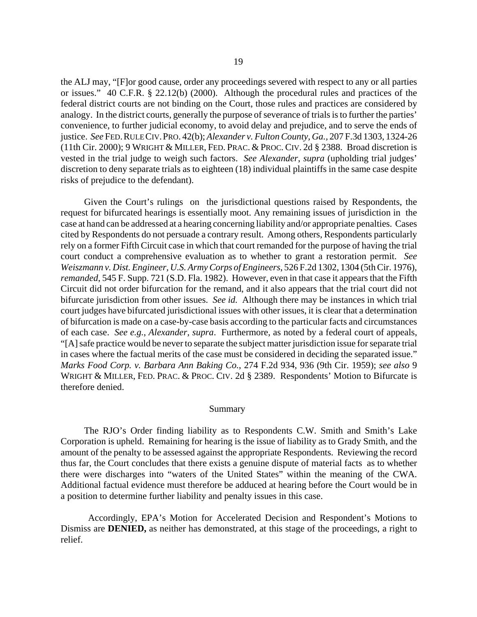the ALJ may, "[F]or good cause, order any proceedings severed with respect to any or all parties or issues." 40 C.F.R. § 22.12(b) (2000). Although the procedural rules and practices of the federal district courts are not binding on the Court, those rules and practices are considered by analogy. In the district courts, generally the purpose of severance of trials is to further the parties' convenience, to further judicial economy, to avoid delay and prejudice, and to serve the ends of justice. *See* FED.RULE CIV.PRO. 42(b); *Alexander v. Fulton County, Ga.,* 207 F.3d 1303, 1324-26 (11th Cir. 2000); 9 WRIGHT & MILLER, FED. PRAC. & PROC. CIV. 2d § 2388. Broad discretion is vested in the trial judge to weigh such factors. *See Alexander*, *supra* (upholding trial judges' discretion to deny separate trials as to eighteen (18) individual plaintiffs in the same case despite risks of prejudice to the defendant).

Given the Court's rulings on the jurisdictional questions raised by Respondents, the request for bifurcated hearings is essentially moot. Any remaining issues of jurisdiction in the case at hand can be addressed at a hearing concerning liability and/or appropriate penalties. Cases cited by Respondents do not persuade a contrary result. Among others, Respondents particularly rely on a former Fifth Circuit case in which that court remanded for the purpose of having the trial court conduct a comprehensive evaluation as to whether to grant a restoration permit. *See Weiszmann v. Dist. Engineer, U.S. Army Corps of Engineers*, 526 F.2d 1302, 1304 (5th Cir. 1976), *remanded*, 545 F. Supp. 721 (S.D. Fla. 1982). However, even in that case it appears that the Fifth Circuit did not order bifurcation for the remand, and it also appears that the trial court did not bifurcate jurisdiction from other issues. *See id.* Although there may be instances in which trial court judges have bifurcated jurisdictional issues with other issues, it is clear that a determination of bifurcation is made on a case-by-case basis according to the particular facts and circumstances of each case. *See e.g.*, *Alexander, supra*. Furthermore, as noted by a federal court of appeals, "[A] safe practice would be never to separate the subject matter jurisdiction issue for separate trial in cases where the factual merits of the case must be considered in deciding the separated issue." *Marks Food Corp. v. Barbara Ann Baking Co.*, 274 F.2d 934, 936 (9th Cir. 1959); *see also* 9 WRIGHT & MILLER, FED. PRAC. & PROC. CIV. 2d § 2389. Respondents' Motion to Bifurcate is therefore denied.

#### Summary

The RJO's Order finding liability as to Respondents C.W. Smith and Smith's Lake Corporation is upheld. Remaining for hearing is the issue of liability as to Grady Smith, and the amount of the penalty to be assessed against the appropriate Respondents. Reviewing the record thus far, the Court concludes that there exists a genuine dispute of material facts as to whether there were discharges into "waters of the United States" within the meaning of the CWA. Additional factual evidence must therefore be adduced at hearing before the Court would be in a position to determine further liability and penalty issues in this case.

Accordingly, EPA's Motion for Accelerated Decision and Respondent's Motions to Dismiss are **DENIED,** as neither has demonstrated, at this stage of the proceedings, a right to relief.